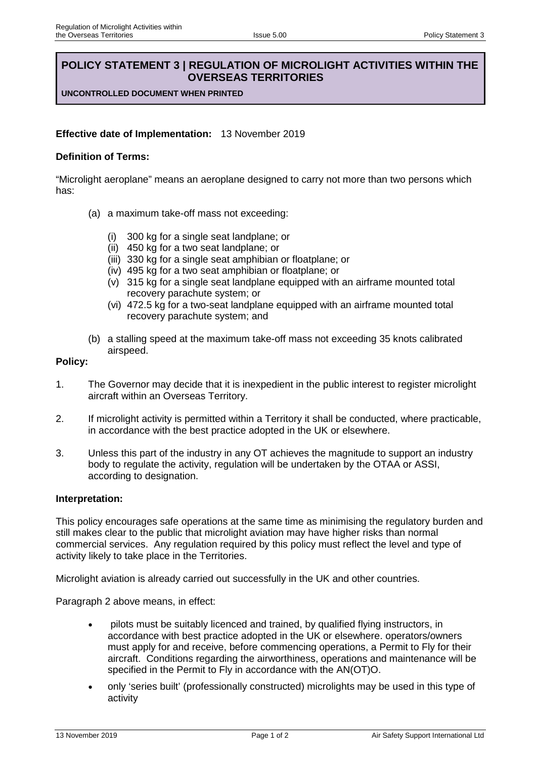# **POLICY STATEMENT 3 | REGULATION OF MICROLIGHT ACTIVITIES WITHIN THE OVERSEAS TERRITORIES**

**UNCONTROLLED DOCUMENT WHEN PRINTED**

## **Effective date of Implementation:** 13 November 2019

## **Definition of Terms:**

"Microlight aeroplane" means an aeroplane designed to carry not more than two persons which has:

- (a) a maximum take-off mass not exceeding:
	- (i) 300 kg for a single seat landplane; or
	- (ii) 450 kg for a two seat landplane; or
	- (iii) 330 kg for a single seat amphibian or floatplane; or
	- (iv) 495 kg for a two seat amphibian or floatplane; or
	- (v) 315 kg for a single seat landplane equipped with an airframe mounted total recovery parachute system; or
	- (vi) 472.5 kg for a two-seat landplane equipped with an airframe mounted total recovery parachute system; and
- (b) a stalling speed at the maximum take-off mass not exceeding 35 knots calibrated airspeed.

### **Policy:**

- 1. The Governor may decide that it is inexpedient in the public interest to register microlight aircraft within an Overseas Territory.
- 2. If microlight activity is permitted within a Territory it shall be conducted, where practicable, in accordance with the best practice adopted in the UK or elsewhere.
- 3. Unless this part of the industry in any OT achieves the magnitude to support an industry body to regulate the activity, regulation will be undertaken by the OTAA or ASSI, according to designation.

#### **Interpretation:**

This policy encourages safe operations at the same time as minimising the regulatory burden and still makes clear to the public that microlight aviation may have higher risks than normal commercial services. Any regulation required by this policy must reflect the level and type of activity likely to take place in the Territories.

Microlight aviation is already carried out successfully in the UK and other countries.

Paragraph 2 above means, in effect:

- pilots must be suitably licenced and trained, by qualified flying instructors, in accordance with best practice adopted in the UK or elsewhere. operators/owners must apply for and receive, before commencing operations, a Permit to Fly for their aircraft. Conditions regarding the airworthiness, operations and maintenance will be specified in the Permit to Fly in accordance with the AN(OT)O.
- only 'series built' (professionally constructed) microlights may be used in this type of activity